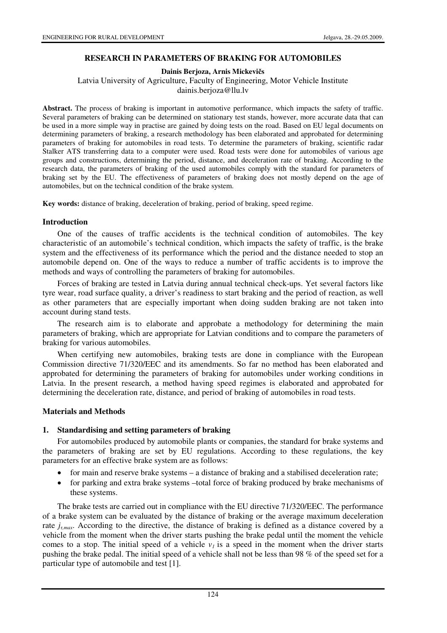### **RESEARCH IN PARAMETERS OF BRAKING FOR AUTOMOBILES**

**Dainis Berjoza, Arnis Mickevi**č**s** 

Latvia University of Agriculture, Faculty of Engineering, Motor Vehicle Institute dainis.berjoza@llu.lv

**Abstract.** The process of braking is important in automotive performance, which impacts the safety of traffic. Several parameters of braking can be determined on stationary test stands, however, more accurate data that can be used in a more simple way in practise are gained by doing tests on the road. Based on EU legal documents on determining parameters of braking, a research methodology has been elaborated and approbated for determining parameters of braking for automobiles in road tests. To determine the parameters of braking, scientific radar Stalker ATS transferring data to a computer were used. Road tests were done for automobiles of various age groups and constructions, determining the period, distance, and deceleration rate of braking. According to the research data, the parameters of braking of the used automobiles comply with the standard for parameters of braking set by the EU. The effectiveness of parameters of braking does not mostly depend on the age of automobiles, but on the technical condition of the brake system.

**Key words:** distance of braking, deceleration of braking, period of braking, speed regime.

### **Introduction**

One of the causes of traffic accidents is the technical condition of automobiles. The key characteristic of an automobile's technical condition, which impacts the safety of traffic, is the brake system and the effectiveness of its performance which the period and the distance needed to stop an automobile depend on. One of the ways to reduce a number of traffic accidents is to improve the methods and ways of controlling the parameters of braking for automobiles.

Forces of braking are tested in Latvia during annual technical check-ups. Yet several factors like tyre wear, road surface quality, a driver's readiness to start braking and the period of reaction, as well as other parameters that are especially important when doing sudden braking are not taken into account during stand tests.

The research aim is to elaborate and approbate a methodology for determining the main parameters of braking, which are appropriate for Latvian conditions and to compare the parameters of braking for various automobiles.

When certifying new automobiles, braking tests are done in compliance with the European Commission directive 71/320/EEC and its amendments. So far no method has been elaborated and approbated for determining the parameters of braking for automobiles under working conditions in Latvia. In the present research, a method having speed regimes is elaborated and approbated for determining the deceleration rate, distance, and period of braking of automobiles in road tests.

### **Materials and Methods**

### **1. Standardising and setting parameters of braking**

For automobiles produced by automobile plants or companies, the standard for brake systems and the parameters of braking are set by EU regulations. According to these regulations, the key parameters for an effective brake system are as follows:

- for main and reserve brake systems a distance of braking and a stabilised deceleration rate;
- for parking and extra brake systems –total force of braking produced by brake mechanisms of these systems.

The brake tests are carried out in compliance with the EU directive 71/320/EEC. The performance of a brake system can be evaluated by the distance of braking or the average maximum deceleration rate  $j_{\tau,max}$ . According to the directive, the distance of braking is defined as a distance covered by a vehicle from the moment when the driver starts pushing the brake pedal until the moment the vehicle comes to a stop. The initial speed of a vehicle  $v<sub>I</sub>$  is a speed in the moment when the driver starts pushing the brake pedal. The initial speed of a vehicle shall not be less than 98 % of the speed set for a particular type of automobile and test [1].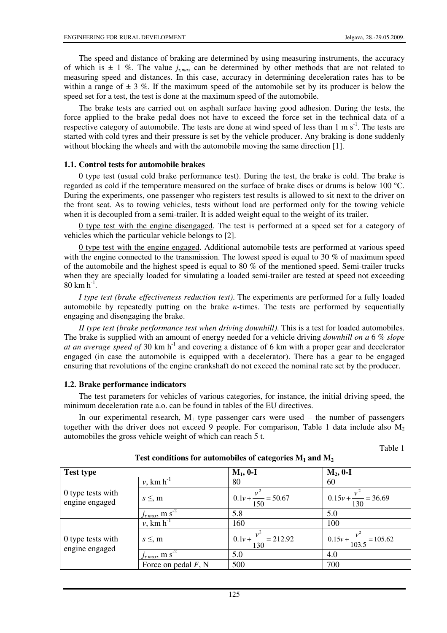The speed and distance of braking are determined by using measuring instruments, the accuracy of which is  $\pm$  1 %. The value  $j_{\tau,m\alpha}$  can be determined by other methods that are not related to measuring speed and distances. In this case, accuracy in determining deceleration rates has to be within a range of  $\pm 3$  %. If the maximum speed of the automobile set by its producer is below the speed set for a test, the test is done at the maximum speed of the automobile.

The brake tests are carried out on asphalt surface having good adhesion. During the tests, the force applied to the brake pedal does not have to exceed the force set in the technical data of a respective category of automobile. The tests are done at wind speed of less than  $1 \text{ m s}^{-1}$ . The tests are started with cold tyres and their pressure is set by the vehicle producer. Any braking is done suddenly without blocking the wheels and with the automobile moving the same direction [1].

## **1.1. Control tests for automobile brakes**

0 type test (usual cold brake performance test). During the test, the brake is cold. The brake is regarded as cold if the temperature measured on the surface of brake discs or drums is below 100 °C. During the experiments, one passenger who registers test results is allowed to sit next to the driver on the front seat. As to towing vehicles, tests without load are performed only for the towing vehicle when it is decoupled from a semi-trailer. It is added weight equal to the weight of its trailer.

0 type test with the engine disengaged. The test is performed at a speed set for a category of vehicles which the particular vehicle belongs to [2].

0 type test with the engine engaged. Additional automobile tests are performed at various speed with the engine connected to the transmission. The lowest speed is equal to 30 % of maximum speed of the automobile and the highest speed is equal to 80 % of the mentioned speed. Semi-trailer trucks when they are specially loaded for simulating a loaded semi-trailer are tested at speed not exceeding  $80 \text{ km h}^{-1}$ .

*I type test (brake effectiveness reduction test)*. The experiments are performed for a fully loaded automobile by repeatedly putting on the brake *n-*times. The tests are performed by sequentially engaging and disengaging the brake.

*II type test (brake performance test when driving downhill)*. This is a test for loaded automobiles. The brake is supplied with an amount of energy needed for a vehicle driving *downhill on a* 6 % *slope at an average speed of* 30 km h-1 and covering a distance of 6 km with a proper gear and decelerator engaged (in case the automobile is equipped with a decelerator). There has a gear to be engaged ensuring that revolutions of the engine crankshaft do not exceed the nominal rate set by the producer.

# **1.2. Brake performance indicators**

The test parameters for vehicles of various categories, for instance, the initial driving speed, the minimum deceleration rate a.o. can be found in tables of the EU directives.

In our experimental research,  $M_1$  type passenger cars were used – the number of passengers together with the driver does not exceed 9 people. For comparison, Table 1 data include also  $M_2$ automobiles the gross vehicle weight of which can reach 5 t.

| ×<br>۰,<br>۰, |  |
|---------------|--|
|---------------|--|

| <b>Test type</b>                    |                                     | $M_1$ , 0-I                                            | $M_2$ , 0-I                           |
|-------------------------------------|-------------------------------------|--------------------------------------------------------|---------------------------------------|
| 0 type tests with<br>engine engaged | $v,$ km $h^{-1}$                    | 80                                                     | 60                                    |
|                                     | $s \leq m$                          | $0.1v + \frac{v^2}{\cdot \cdot \cdot} = 50.67$<br>150  | $1 \t0.15v + \frac{v^2}{130} = 36.69$ |
|                                     | $l_{\tau, max}$ , m $s^{-2}$        | 5.8                                                    | 5.0                                   |
| 0 type tests with<br>engine engaged | $v$ , km $h^{-1}$                   | 160                                                    | 100                                   |
|                                     | $s \leq m$                          | $0.1v + \frac{v^2}{\cdot \cdot \cdot} = 212.92$<br>130 | $0.15v + \frac{v^2}{103.5} = 105.62$  |
|                                     | $J_{\tau, max}$ , m s <sup>-2</sup> | 5.0                                                    | 4.0                                   |
|                                     | Force on pedal $F$ , N              | 500                                                    | 700                                   |

**Test conditions for automobiles of categories M1 and M<sup>2</sup>**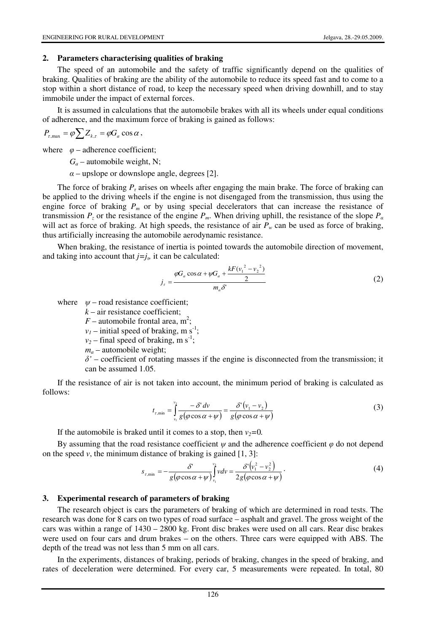#### **2. Parameters characterising qualities of braking**

The speed of an automobile and the safety of traffic significantly depend on the qualities of braking. Qualities of braking are the ability of the automobile to reduce its speed fast and to come to a stop within a short distance of road, to keep the necessary speed when driving downhill, and to stay immobile under the impact of external forces.

It is assumed in calculations that the automobile brakes with all its wheels under equal conditions of adherence, and the maximum force of braking is gained as follows:

$$
P_{\tau,\text{max}} = \varphi \sum Z_{k,\tau} = \varphi G_a \cos \alpha \,,
$$

where  $\varphi$  – adherence coefficient;

 $G_a$  – automobile weight, N;

 $\alpha$  – upslope or downslope angle, degrees [2].

The force of braking  $P<sub>z</sub>$  arises on wheels after engaging the main brake. The force of braking can be applied to the driving wheels if the engine is not disengaged from the transmission, thus using the engine force of braking  $P_m$  or by using special decelerators that can increase the resistance of transmission  $P_z$  or the resistance of the engine  $P_m$ . When driving uphill, the resistance of the slope  $P_a$ will act as force of braking. At high speeds, the resistance of air  $P_w$  can be used as force of braking, thus artificially increasing the automobile aerodynamic resistance.

When braking, the resistance of inertia is pointed towards the automobile direction of movement, and taking into account that  $j=j_{\nu}$  it can be calculated:

$$
j_{\tau} = \frac{\varphi G_a \cos \alpha + \psi G_a + \frac{kF(v_1^2 - v_2^2)}{2}}{m_a \delta'} \tag{2}
$$

where  $\psi$  – road resistance coefficient;

 $k -$ air resistance coefficient;

 $F$  – automobile frontal area, m<sup>2</sup>;

 $v_1$  – initial speed of braking, m s<sup>-1</sup>;

 $v_2$  – final speed of braking, m s<sup>-1</sup>;

 $m_a$  – automobile weight;

 $\delta'$  – coefficient of rotating masses if the engine is disconnected from the transmission; it can be assumed 1.05.

If the resistance of air is not taken into account, the minimum period of braking is calculated as follows:

$$
t_{\tau,\min} = \int_{\nu_1}^{\nu_2} \frac{-\delta' d\nu}{g(\varphi \cos \alpha + \psi)} = \frac{\delta'(\nu_1 - \nu_2)}{g(\varphi \cos \alpha + \psi)}\tag{3}
$$

If the automobile is braked until it comes to a stop, then  $v_2=0$ .

By assuming that the road resistance coefficient  $\psi$  and the adherence coefficient  $\varphi$  do not depend on the speed  $v$ , the minimum distance of braking is gained  $[1, 3]$ :

$$
s_{\tau,\min} = -\frac{\delta'}{g(\varphi\cos\alpha + \psi)}\int_{v_1}^{v_2} v dv = \frac{\delta'\left(v_1^2 - v_2^2\right)}{2g(\varphi\cos\alpha + \psi)}\,. \tag{4}
$$

#### **3. Experimental research of parameters of braking**

The research object is cars the parameters of braking of which are determined in road tests. The research was done for 8 cars on two types of road surface – asphalt and gravel. The gross weight of the cars was within a range of 1430 – 2800 kg. Front disc brakes were used on all cars. Rear disc brakes were used on four cars and drum brakes – on the others. Three cars were equipped with ABS. The depth of the tread was not less than 5 mm on all cars.

In the experiments, distances of braking, periods of braking, changes in the speed of braking, and rates of deceleration were determined. For every car, 5 measurements were repeated. In total, 80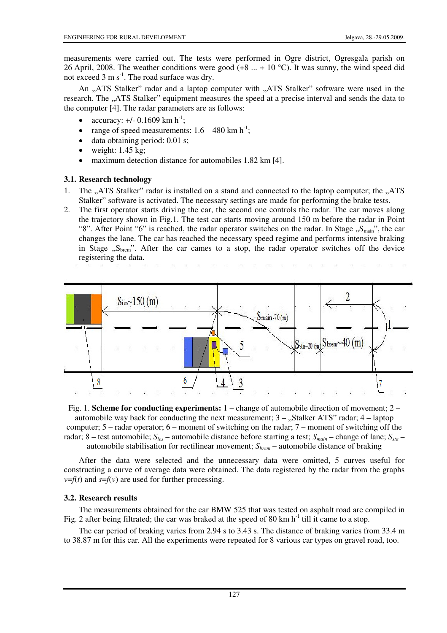measurements were carried out. The tests were performed in Ogre district, Ogresgala parish on 26 April, 2008. The weather conditions were good  $(+8 \dots + 10 \degree C)$ . It was sunny, the wind speed did not exceed  $3 \text{ m s}^{-1}$ . The road surface was dry.

An "ATS Stalker" radar and a laptop computer with "ATS Stalker" software were used in the research. The "ATS Stalker" equipment measures the speed at a precise interval and sends the data to the computer [4]. The radar parameters are as follows:

- accuracy:  $+/- 0.1609$  km h<sup>-1</sup>;
- range of speed measurements:  $1.6 480 \text{ km h}^{-1}$ ;
- data obtaining period: 0.01 s;
- weight:  $1.45$  kg;
- maximum detection distance for automobiles 1.82 km [4].

## **3.1. Research technology**

- 1. The "ATS Stalker" radar is installed on a stand and connected to the laptop computer; the "ATS Stalker" software is activated. The necessary settings are made for performing the brake tests.
- 2. The first operator starts driving the car, the second one controls the radar. The car moves along the trajectory shown in Fig.1. The test car starts moving around 150 m before the radar in Point "8". After Point "6" is reached, the radar operator switches on the radar. In Stage  $\mathcal{S}_{\text{main}}$ ", the car changes the lane. The car has reached the necessary speed regime and performs intensive braking in Stage  $, S_{\text{brem}}$ ". After the car cames to a stop, the radar operator switches off the device registering the data.



Fig. 1. **Scheme for conducting experiments:** 1 – change of automobile direction of movement; 2 – automobile way back for conducting the next measurement;  $3 -$  "Stalker ATS" radar;  $4 -$ laptop computer; 5 – radar operator; 6 – moment of switching on the radar; 7 – moment of switching off the radar; 8 – test automobile; *Sies* – automobile distance before starting a test; *Smain* – change of lane; *Ssta* – automobile stabilisation for rectilinear movement; *Sbrem* – automobile distance of braking

After the data were selected and the unnecessary data were omitted, 5 curves useful for constructing a curve of average data were obtained. The data registered by the radar from the graphs  $v=f(t)$  and  $s=f(v)$  are used for further processing.

### **3.2. Research results**

The measurements obtained for the car BMW 525 that was tested on asphalt road are compiled in Fig. 2 after being filtrated; the car was braked at the speed of 80 km  $h^{-1}$  till it came to a stop.

The car period of braking varies from 2.94 s to 3.43 s. The distance of braking varies from 33.4 m to 38.87 m for this car. All the experiments were repeated for 8 various car types on gravel road, too.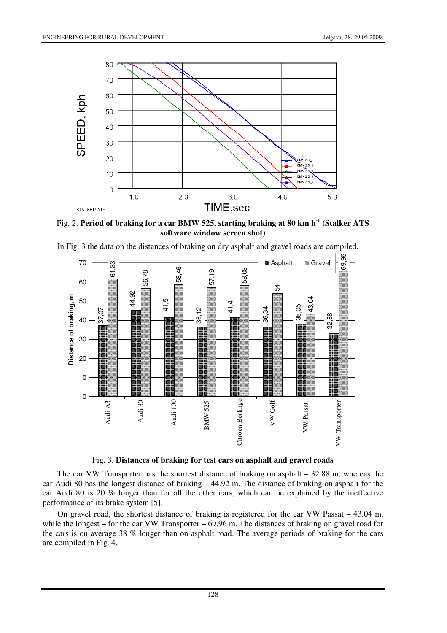

Fig. 2. **Period of braking for a car BMW 525, starting braking at 80 km h-1 (Stalker ATS software window screen shot)** 



In Fig. 3 the data on the distances of braking on dry asphalt and gravel roads are compiled.

Fig. 3. **Distances of braking for test cars on asphalt and gravel roads** 

The car VW Transporter has the shortest distance of braking on asphalt – 32.88 m, whereas the car Audi 80 has the longest distance of braking – 44.92 m. The distance of braking on asphalt for the car Audi 80 is 20 % longer than for all the other cars, which can be explained by the ineffective performance of its brake system [5].

On gravel road, the shortest distance of braking is registered for the car VW Passat – 43.04 m, while the longest – for the car VW Transporter – 69.96 m. The distances of braking on gravel road for the cars is on average 38 % longer than on asphalt road. The average periods of braking for the cars are compiled in Fig. 4.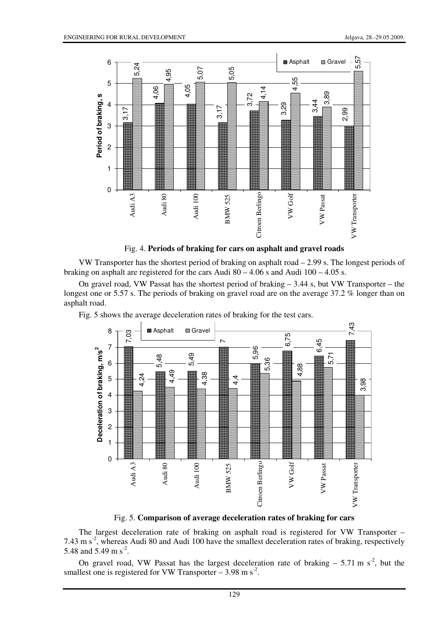

Fig. 4. **Periods of braking for cars on asphalt and gravel roads** 

VW Transporter has the shortest period of braking on asphalt road – 2.99 s. The longest periods of braking on asphalt are registered for the cars Audi  $80 - 4.06$  s and Audi  $100 - 4.05$  s.

On gravel road, VW Passat has the shortest period of braking – 3.44 s, but VW Transporter – the longest one or 5.57 s. The periods of braking on gravel road are on the average 37.2 % longer than on asphalt road.



Fig. 5 shows the average deceleration rates of braking for the test cars.

Fig. 5. **Comparison of average deceleration rates of braking for cars** 

The largest deceleration rate of braking on asphalt road is registered for VW Transporter –  $7.43 \text{ m s}^2$ , whereas Audi 80 and Audi 100 have the smallest deceleration rates of braking, respectively 5.48 and 5.49 m s<sup>-2</sup>.

On gravel road, VW Passat has the largest deceleration rate of braking  $-5.71 \text{ m s}^2$ , but the smallest one is registered for VW Transporter  $-3.98$  m s<sup>-2</sup>.